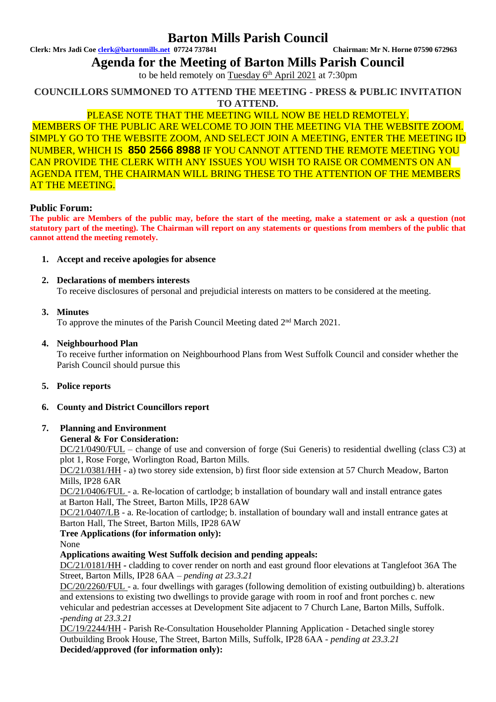## **Barton Mills Parish Council**

**Clerk: Mrs Jadi Coe [clerk@bartonmills.net](mailto:clerk@bartonmills.net) 07724 737841 Chairman: Mr N. Horne 07590 672963**

**Agenda for the Meeting of Barton Mills Parish Council**

to be held remotely on Tuesday 6<sup>th</sup> April 2021 at 7:30pm

**COUNCILLORS SUMMONED TO ATTEND THE MEETING - PRESS & PUBLIC INVITATION TO ATTEND.**

## PLEASE NOTE THAT THE MEETING WILL NOW BE HELD REMOTELY.

MEMBERS OF THE PUBLIC ARE WELCOME TO JOIN THE MEETING VIA THE WEBSITE ZOOM. SIMPLY GO TO THE WEBSITE ZOOM, AND SELECT JOIN A MEETING, ENTER THE MEETING ID NUMBER, WHICH IS **850 2566 8988** IF YOU CANNOT ATTEND THE REMOTE MEETING YOU CAN PROVIDE THE CLERK WITH ANY ISSUES YOU WISH TO RAISE OR COMMENTS ON AN AGENDA ITEM, THE CHAIRMAN WILL BRING THESE TO THE ATTENTION OF THE MEMBERS AT THE MEETING.

#### **Public Forum:**

**The public are Members of the public may, before the start of the meeting, make a statement or ask a question (not statutory part of the meeting). The Chairman will report on any statements or questions from members of the public that cannot attend the meeting remotely.**

**1. Accept and receive apologies for absence** 

#### **2. Declarations of members interests**

To receive disclosures of personal and prejudicial interests on matters to be considered at the meeting.

## **3. Minutes**

To approve the minutes of the Parish Council Meeting dated 2<sup>nd</sup> March 2021.

## **4. Neighbourhood Plan**

To receive further information on Neighbourhood Plans from West Suffolk Council and consider whether the Parish Council should pursue this

**5. Police reports**

## **6. County and District Councillors report**

## **7. Planning and Environment**

## **General & For Consideration:**

DC/21/0490/FUL – change of use and conversion of forge (Sui Generis) to residential dwelling (class C3) at plot 1, Rose Forge, Worlington Road, Barton Mills.

DC/21/0381/HH - a) two storey side extension, b) first floor side extension at 57 Church Meadow, Barton Mills, IP28 6AR

DC/21/0406/FUL - a. Re-location of cartlodge; b installation of boundary wall and install entrance gates at Barton Hall, The Street, Barton Mills, IP28 6AW

DC/21/0407/LB - a. Re-location of cartlodge; b. installation of boundary wall and install entrance gates at Barton Hall, The Street, Barton Mills, IP28 6AW

**Tree Applications (for information only):**

None

## **Applications awaiting West Suffolk decision and pending appeals:**

DC/21/0181/HH **-** cladding to cover render on north and east ground floor elevations at Tanglefoot 36A The Street, Barton Mills, IP28 6AA – *pending at 23.3.21*

DC/20/2260/FUL - a. four dwellings with garages (following demolition of existing outbuilding) b. alterations and extensions to existing two dwellings to provide garage with room in roof and front porches c. new vehicular and pedestrian accesses at Development Site adjacent to 7 Church Lane, Barton Mills, Suffolk. **-***pending at 23.3.21*

DC/19/2244/HH - Parish Re-Consultation Householder Planning Application - Detached single storey Outbuilding Brook House, The Street, Barton Mills, Suffolk, IP28 6AA - *pending at 23.3.21* **Decided/approved (for information only):**